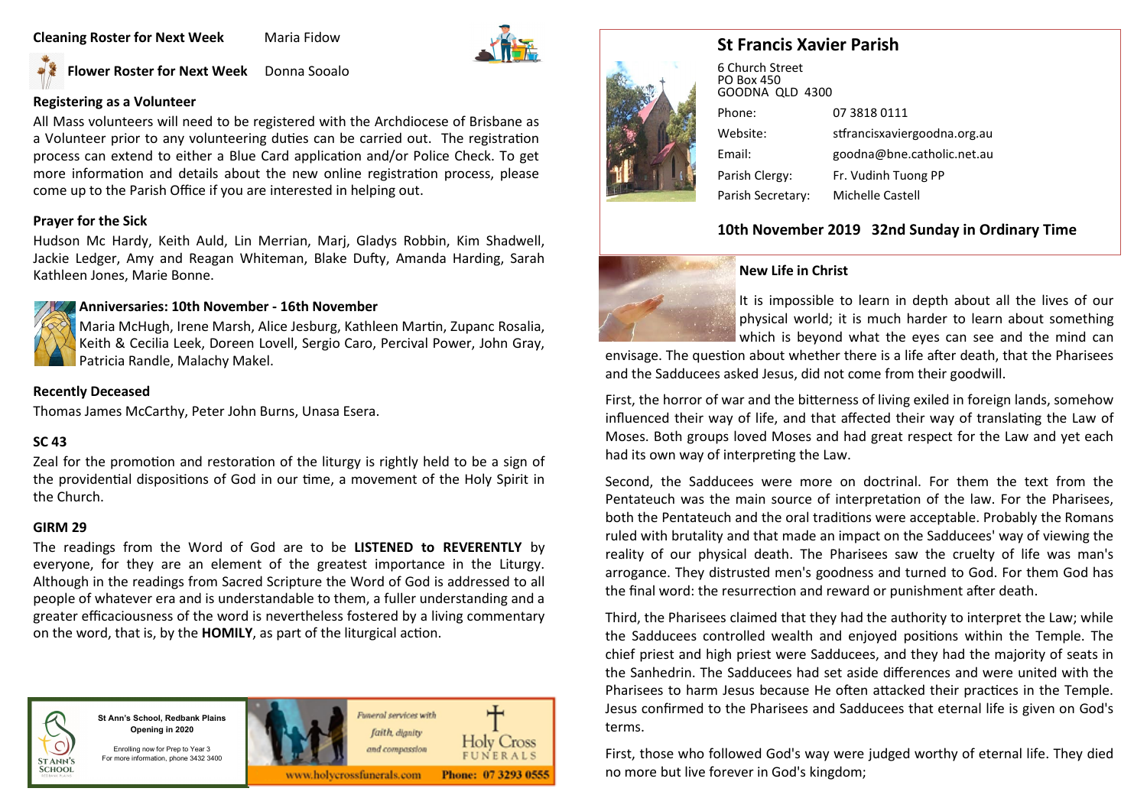#### **Cleaning Roster for Next Week Maria Fidow**



**Flower Roster for Next Week** Donna Sooalo

## **Registering as a Volunteer**

All Mass volunteers will need to be registered with the Archdiocese of Brisbane as a Volunteer prior to any volunteering duties can be carried out. The registration process can extend to either a Blue Card application and/or Police Check. To get more information and details about the new online registration process, please come up to the Parish Office if you are interested in helping out.

#### **Prayer for the Sick**

Hudson Mc Hardy, Keith Auld, Lin Merrian, Marj, Gladys Robbin, Kim Shadwell, Jackie Ledger, Amy and Reagan Whiteman, Blake Dufty, Amanda Harding, Sarah Kathleen Jones, Marie Bonne.



Maria McHugh, Irene Marsh, Alice Jesburg, Kathleen Martin, Zupanc Rosalia, Keith & Cecilia Leek, Doreen Lovell, Sergio Caro, Percival Power, John Gray, Patricia Randle, Malachy Makel.

#### **Recently Deceased**

Thomas James McCarthy, Peter John Burns, Unasa Esera.

#### **SC 43**

Zeal for the promotion and restoration of the liturgy is rightly held to be a sign of the providential dispositions of God in our time, a movement of the Holy Spirit in the Church.

#### **GIRM 29**

The readings from the Word of God are to be **LISTENED to REVERENTLY** by everyone, for they are an element of the greatest importance in the Liturgy. Although in the readings from Sacred Scripture the Word of God is addressed to all people of whatever era and is understandable to them, a fuller understanding and a greater efficaciousness of the word is nevertheless fostered by a living commentary on the word, that is, by the **HOMILY**, as part of the liturgical action.



**St Ann's School, Redbank Plains Opening in 2020**



Enrolling now for Prep to Year 3 For more information, phone 3432 3400





Third, the Pharisees claimed that they had the authority to interpret the Law; while the Sadducees controlled wealth and enjoyed positions within the Temple. The chief priest and high priest were Sadducees, and they had the majority of seats in the Sanhedrin. The Sadducees had set aside differences and were united with the Pharisees to harm Jesus because He often attacked their practices in the Temple. Jesus confirmed to the Pharisees and Sadducees that eternal life is given on God's terms.

First, those who followed God's way were judged worthy of eternal life. They died no more but live forever in God's kingdom;

# **St Francis Xavier Parish**



6 Church Street PO Box 450 GOODNA QLD 4300 Phone: 07 3818 0111 Website: stfrancisxaviergoodna.org.au Email: goodna@bne.catholic.net.au Parish Clergy: Fr. Vudinh Tuong PP Parish Secretary: Michelle Castell

# **10th November 2019 32nd Sunday in Ordinary Time**



#### **New Life in Christ**

It is impossible to learn in depth about all the lives of our physical world; it is much harder to learn about something which is beyond what the eyes can see and the mind can

envisage. The question about whether there is a life after death, that the Pharisees and the Sadducees asked Jesus, did not come from their goodwill.

First, the horror of war and the bitterness of living exiled in foreign lands, somehow influenced their way of life, and that affected their way of translating the Law of Moses. Both groups loved Moses and had great respect for the Law and yet each had its own way of interpreting the Law.

Second, the Sadducees were more on doctrinal. For them the text from the Pentateuch was the main source of interpretation of the law. For the Pharisees, both the Pentateuch and the oral traditions were acceptable. Probably the Romans ruled with brutality and that made an impact on the Sadducees' way of viewing the reality of our physical death. The Pharisees saw the cruelty of life was man's arrogance. They distrusted men's goodness and turned to God. For them God has the final word: the resurrection and reward or punishment after death.